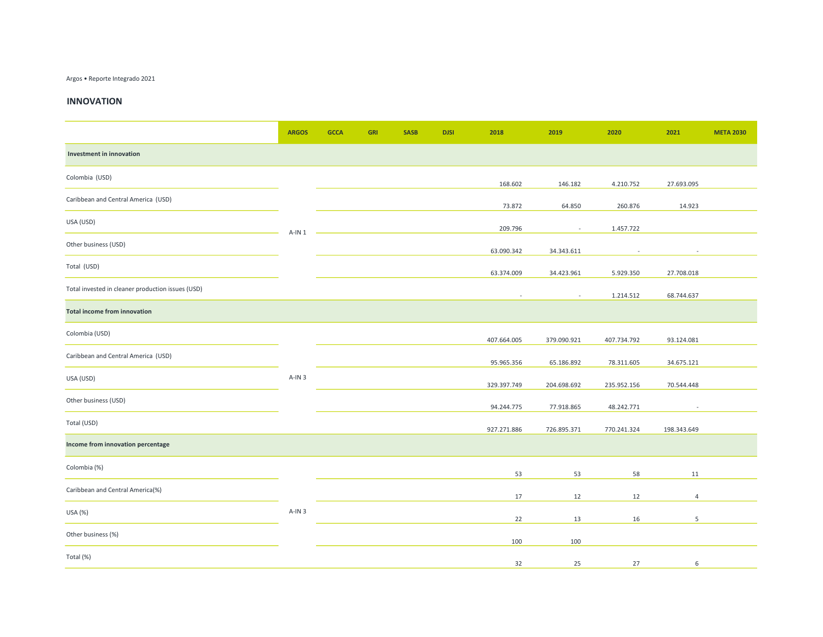## Argos • Reporte Integrado 2021

## INNOVATION

|                                                   | <b>ARGOS</b> | <b>GCCA</b> | <b>GRI</b> | <b>SASB</b> | <b>DJSI</b> | 2018        | 2019        | 2020        | 2021        | <b>META 2030</b> |
|---------------------------------------------------|--------------|-------------|------------|-------------|-------------|-------------|-------------|-------------|-------------|------------------|
| <b>Investment in innovation</b>                   |              |             |            |             |             |             |             |             |             |                  |
| Colombia (USD)                                    | $A-IN1$      |             |            |             |             | 168.602     | 146.182     | 4.210.752   | 27.693.095  |                  |
| Caribbean and Central America (USD)               |              |             |            |             |             | 73.872      | 64.850      | 260.876     | 14.923      |                  |
| USA (USD)                                         |              |             |            |             |             | 209.796     | $\sim$      | 1.457.722   |             |                  |
| Other business (USD)                              |              |             |            |             |             | 63.090.342  | 34.343.611  |             |             |                  |
| Total (USD)                                       |              |             |            |             |             | 63.374.009  | 34.423.961  | 5.929.350   | 27.708.018  |                  |
| Total invested in cleaner production issues (USD) |              |             |            |             |             |             |             | 1.214.512   | 68.744.637  |                  |
| <b>Total income from innovation</b>               |              |             |            |             |             |             |             |             |             |                  |
| Colombia (USD)                                    |              |             |            |             |             | 407.664.005 | 379.090.921 | 407.734.792 | 93.124.081  |                  |
| Caribbean and Central America (USD)               | $A-1N3$      |             |            |             |             | 95.965.356  | 65.186.892  | 78.311.605  | 34.675.121  |                  |
| USA (USD)                                         |              |             |            |             |             | 329.397.749 | 204.698.692 | 235.952.156 | 70.544.448  |                  |
| Other business (USD)                              |              |             |            |             |             | 94.244.775  | 77.918.865  | 48.242.771  |             |                  |
| Total (USD)                                       |              |             |            |             |             | 927.271.886 | 726.895.371 | 770.241.324 | 198.343.649 |                  |
| Income from innovation percentage                 |              |             |            |             |             |             |             |             |             |                  |
| Colombia (%)                                      | $A-IN3$      |             |            |             |             | 53          | 53          | 58          | 11          |                  |
| Caribbean and Central America(%)                  |              |             |            |             |             | 17          | 12          | 12          | 4           |                  |
| USA (%)                                           |              |             |            |             |             | 22          | 13          | 16          | 5           |                  |
| Other business (%)                                |              |             |            |             |             | 100         | 100         |             |             |                  |
| Total (%)                                         |              |             |            |             |             | 32          | 25          | 27          | 6           |                  |